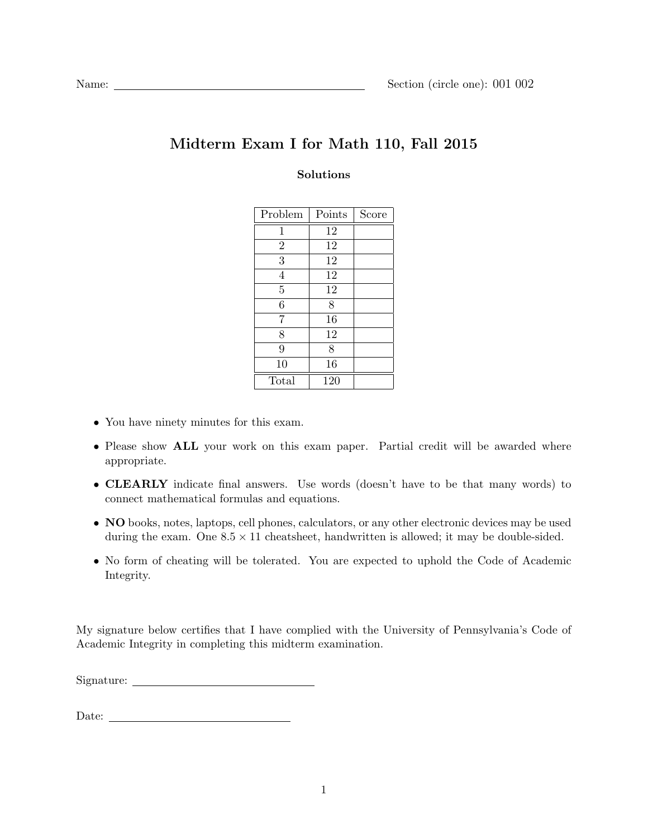## Midterm Exam I for Math 110, Fall 2015

## Solutions

| Problem        | Points | Score |
|----------------|--------|-------|
| 1              | 12     |       |
| $\overline{2}$ | 12     |       |
| 3              | 12     |       |
| $\overline{4}$ | 12     |       |
| $\overline{5}$ | 12     |       |
| 6              | 8      |       |
| 7              | 16     |       |
| 8              | 12     |       |
| 9              | 8      |       |
| 10             | 16     |       |
| Total          | 120    |       |

- You have ninety minutes for this exam.
- Please show **ALL** your work on this exam paper. Partial credit will be awarded where appropriate.
- CLEARLY indicate final answers. Use words (doesn't have to be that many words) to connect mathematical formulas and equations.
- NO books, notes, laptops, cell phones, calculators, or any other electronic devices may be used during the exam. One  $8.5 \times 11$  cheatsheet, handwritten is allowed; it may be double-sided.
- No form of cheating will be tolerated. You are expected to uphold the Code of Academic Integrity.

My signature below certifies that I have complied with the University of Pennsylvania's Code of Academic Integrity in completing this midterm examination.

Signature:

 ${\bf Date:} \begin{tabular}{|l|l|} \hline \hline \multicolumn{1}{|l|}{\textbf{Date:}} \end{tabular}$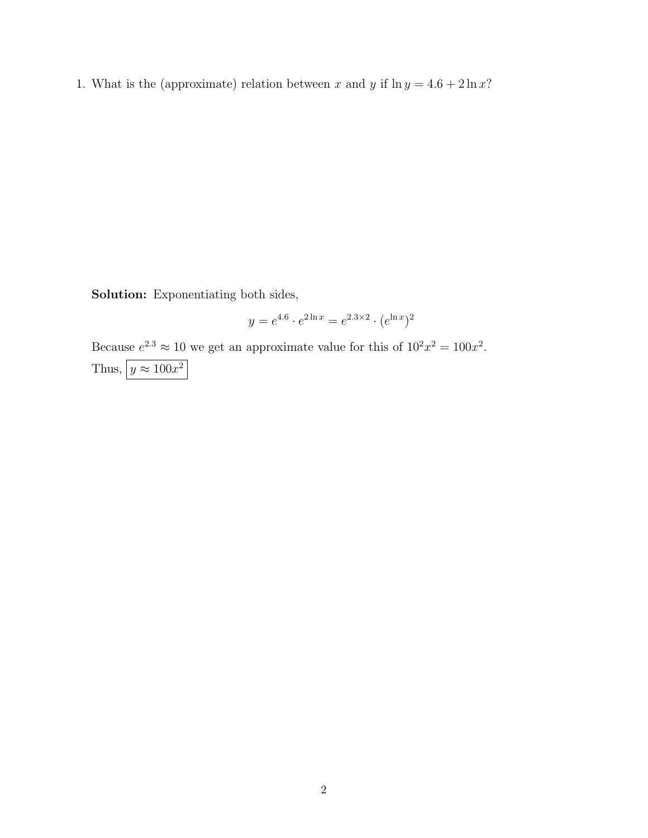1. What is the (approximate) relation between x and y if  $\ln y = 4.6 + 2 \ln x$ ?

Solution: Exponentiating both sides,

$$
y = e^{4.6} \cdot e^{2 \ln x} = e^{2.3 \times 2} \cdot (e^{\ln x})^2
$$

Because  $e^{2.3} \approx 10$  we get an approximate value for this of  $10^2 x^2 = 100x^2$ . Thus,  $y \approx 100x^2$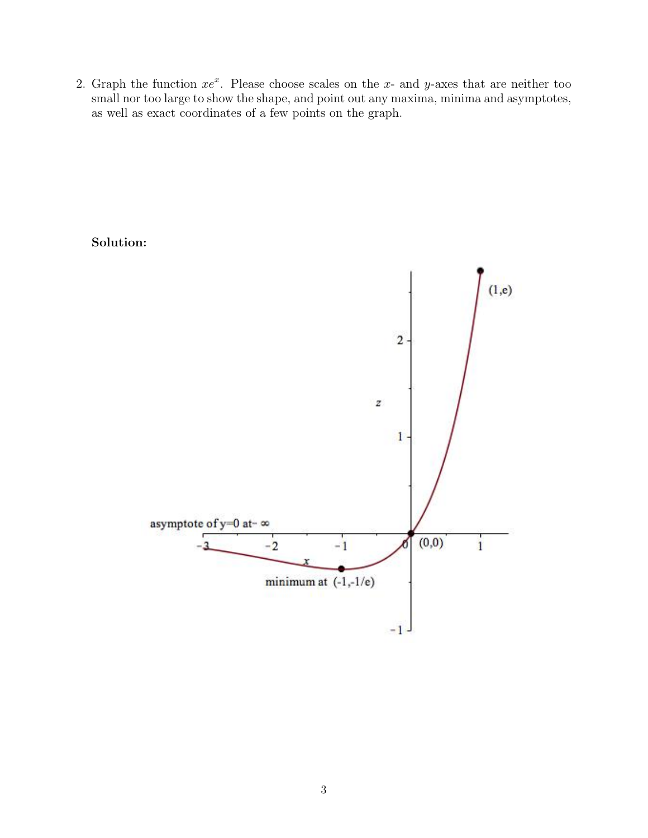2. Graph the function  $xe^x$ . Please choose scales on the x- and y-axes that are neither too small nor too large to show the shape, and point out any maxima, minima and asymptotes, as well as exact coordinates of a few points on the graph.

Solution:

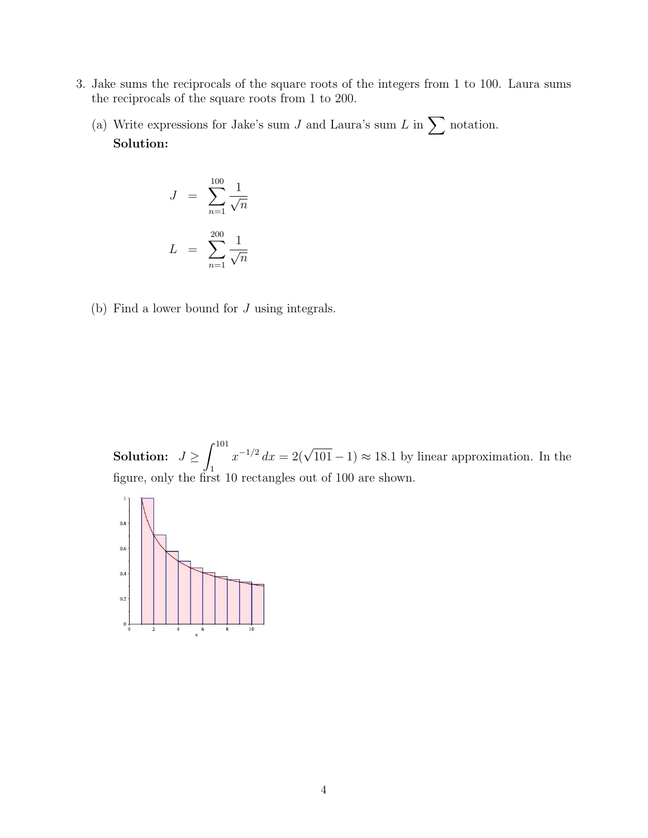- 3. Jake sums the reciprocals of the square roots of the integers from 1 to 100. Laura sums the reciprocals of the square roots from 1 to 200.
	- (a) Write expressions for Jake's sum  $J$  and Laura's sum  $L$  in  $\sum$  notation. Solution:

$$
J = \sum_{n=1}^{100} \frac{1}{\sqrt{n}}
$$

$$
L = \sum_{n=1}^{200} \frac{1}{\sqrt{n}}
$$

(b) Find a lower bound for J using integrals.

Solution:  $J \geq \int^{101}$ 1  $x^{-1/2} dx = 2(\sqrt{101} - 1) \approx 18.1$  by linear approximation. In the figure, only the first 10 rectangles out of 100 are shown.

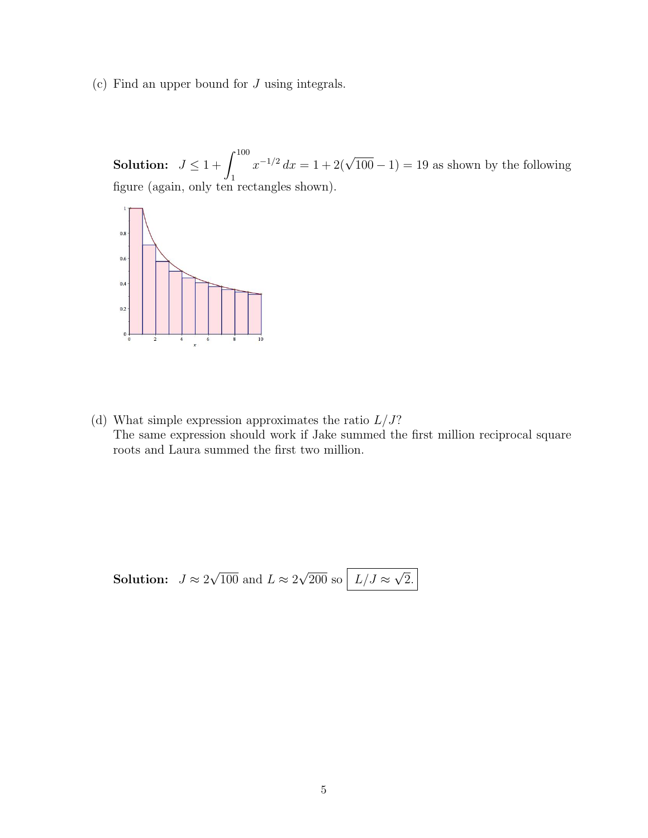(c) Find an upper bound for J using integrals.

Solution:  $J \leq 1 + \int^{100}$ 1  $x^{-1/2} dx = 1 + 2(\sqrt{100} - 1) = 19$  as shown by the following figure (again, only ten rectangles shown).



(d) What simple expression approximates the ratio  $L/J$ ? The same expression should work if Jake summed the first million reciprocal square roots and Laura summed the first two million.

**Solution:** 
$$
J \approx 2\sqrt{100}
$$
 and  $L \approx 2\sqrt{200}$  so  $L/J \approx \sqrt{2}$ .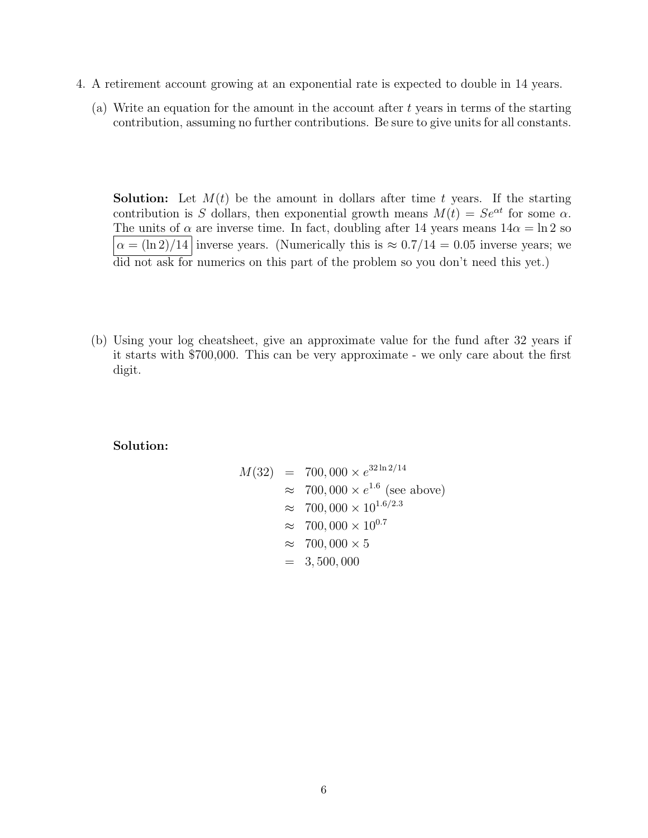- 4. A retirement account growing at an exponential rate is expected to double in 14 years.
	- (a) Write an equation for the amount in the account after t years in terms of the starting contribution, assuming no further contributions. Be sure to give units for all constants.

**Solution:** Let  $M(t)$  be the amount in dollars after time t years. If the starting contribution is S dollars, then exponential growth means  $M(t) = Se^{\alpha t}$  for some  $\alpha$ . The units of  $\alpha$  are inverse time. In fact, doubling after 14 years means  $14\alpha = \ln 2$  so  $\alpha = (\ln 2)/14$  inverse years. (Numerically this is  $\approx 0.7/14 = 0.05$  inverse years; we did not ask for numerics on this part of the problem so you don't need this yet.)

(b) Using your log cheatsheet, give an approximate value for the fund after 32 years if it starts with \$700,000. This can be very approximate - we only care about the first digit.

## Solution:

$$
M(32) = 700,000 \times e^{32 \ln 2/14}
$$
  
\n
$$
\approx 700,000 \times e^{1.6} \text{ (see above)}
$$
  
\n
$$
\approx 700,000 \times 10^{1.6/2.3}
$$
  
\n
$$
\approx 700,000 \times 10^{0.7}
$$
  
\n
$$
\approx 700,000 \times 5
$$
  
\n
$$
= 3,500,000
$$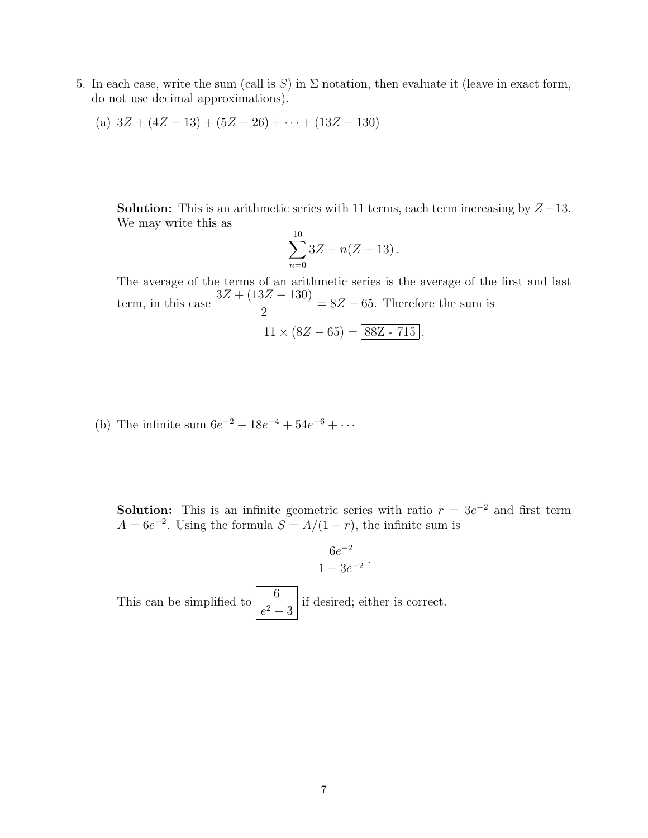5. In each case, write the sum (call is S) in  $\Sigma$  notation, then evaluate it (leave in exact form, do not use decimal approximations).

(a) 
$$
3Z + (4Z - 13) + (5Z - 26) + \cdots + (13Z - 130)
$$

**Solution:** This is an arithmetic series with 11 terms, each term increasing by  $Z - 13$ . We may write this as

$$
\sum_{n=0}^{10} 3Z + n(Z - 13).
$$

The average of the terms of an arithmetic series is the average of the first and last term, in this case  $\frac{3Z + (13Z - 130)}{2}$ 2  $= 8Z - 65$ . Therefore the sum is

$$
11 \times (8Z - 65) = \boxed{88Z - 715}.
$$

(b) The infinite sum  $6e^{-2} + 18e^{-4} + 54e^{-6} + \cdots$ 

**Solution:** This is an infinite geometric series with ratio  $r = 3e^{-2}$  and first term  $A = 6e^{-2}$ . Using the formula  $S = A/(1 - r)$ , the infinite sum is

$$
\frac{6e^{-2}}{1-3e^{-2}}\,.
$$

This can be simplified to  $\frac{6}{2}$  $\frac{e^2}{e^2-3}$  if desired; either is correct.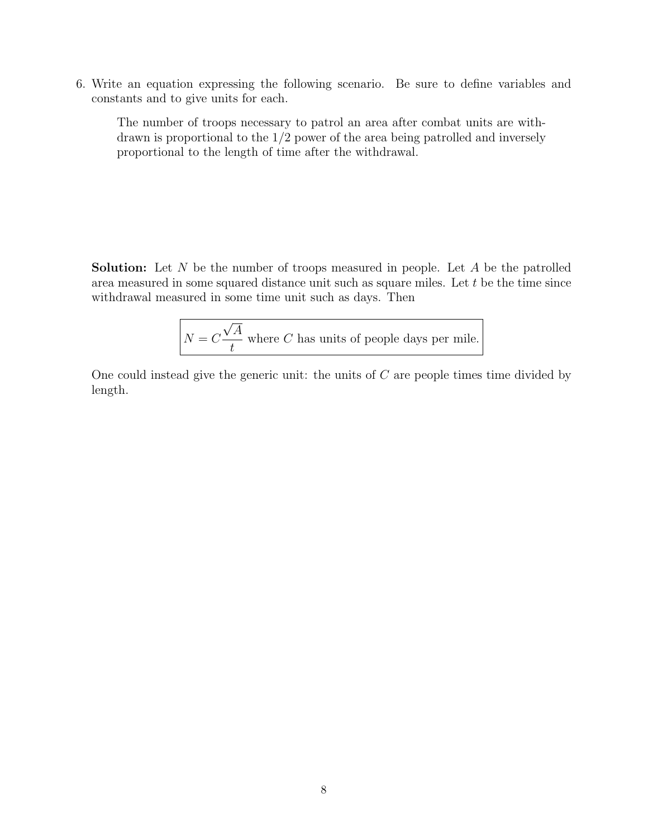6. Write an equation expressing the following scenario. Be sure to define variables and constants and to give units for each.

The number of troops necessary to patrol an area after combat units are withdrawn is proportional to the 1/2 power of the area being patrolled and inversely proportional to the length of time after the withdrawal.

**Solution:** Let N be the number of troops measured in people. Let A be the patrolled area measured in some squared distance unit such as square miles. Let t be the time since withdrawal measured in some time unit such as days. Then

> $N = C$ √ A t where  $C$  has units of people days per mile.

One could instead give the generic unit: the units of  $C$  are people times time divided by length.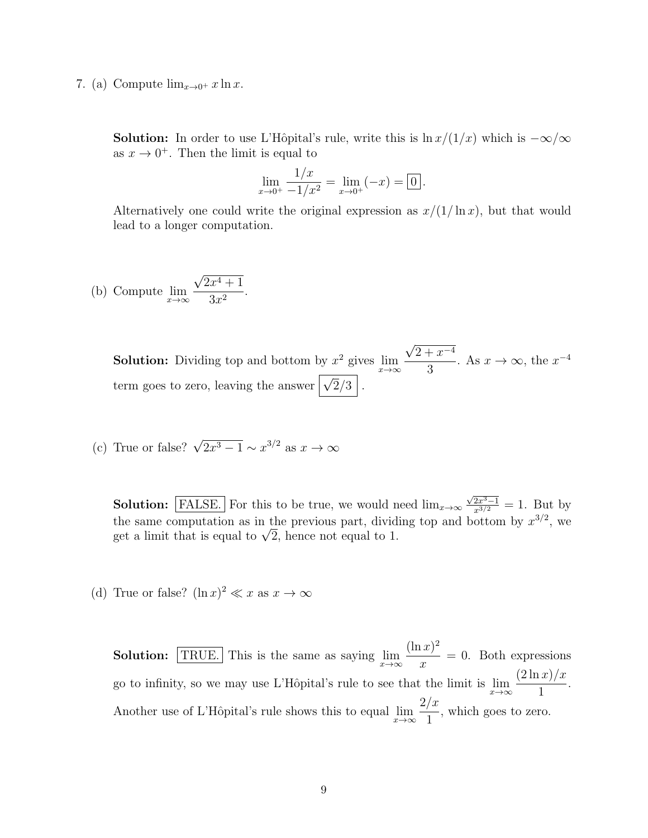7. (a) Compute  $\lim_{x\to 0^+} x \ln x$ .

**Solution:** In order to use L'Hôpital's rule, write this is  $\ln x/(1/x)$  which is  $-\infty/\infty$ as  $x \to 0^+$ . Then the limit is equal to

$$
\lim_{x \to 0^+} \frac{1/x}{-1/x^2} = \lim_{x \to 0^+} (-x) = \boxed{0}.
$$

Alternatively one could write the original expression as  $x/(1/\ln x)$ , but that would lead to a longer computation.

(b) Compute 
$$
\lim_{x \to \infty} \frac{\sqrt{2x^4 + 1}}{3x^2}.
$$

**Solution:** Dividing top and bottom by  $x^2$  gives  $\lim_{x\to\infty}$ √  $2 + x^{-4}$ 3 . As  $x \to \infty$ , the  $x^{-4}$ term goes to zero, leaving the answer  $\sqrt{2}/3$ .

(c) True or false?  $\sqrt{2x^3 - 1} \sim x^{3/2}$  as  $x \to \infty$ 

**Solution:** FALSE. For this to be true, we would need  $\lim_{x\to\infty}$  $\frac{\sqrt{2x^3-1}}{x^{3/2}}=1$ . But by the same computation as in the previous part, dividing top and bottom by  $x^{3/2}$ , we the same computation as in the previous part, divid<br>get a limit that is equal to  $\sqrt{2}$ , hence not equal to 1.

(d) True or false?  $(\ln x)^2 \ll x$  as  $x \to \infty$ 

**Solution:** TRUE. This is the same as saying  $\lim_{x\to\infty}$  $(\ln x)^2$  $\overline{x}$ = 0. Both expressions go to infinity, so we may use L'Hôpital's rule to see that the limit is  $\lim_{x\to\infty}$  $(2 \ln x)/x$ 1 . Another use of L'Hôpital's rule shows this to equal  $\lim_{x\to\infty}$  $2/x$ 1 , which goes to zero.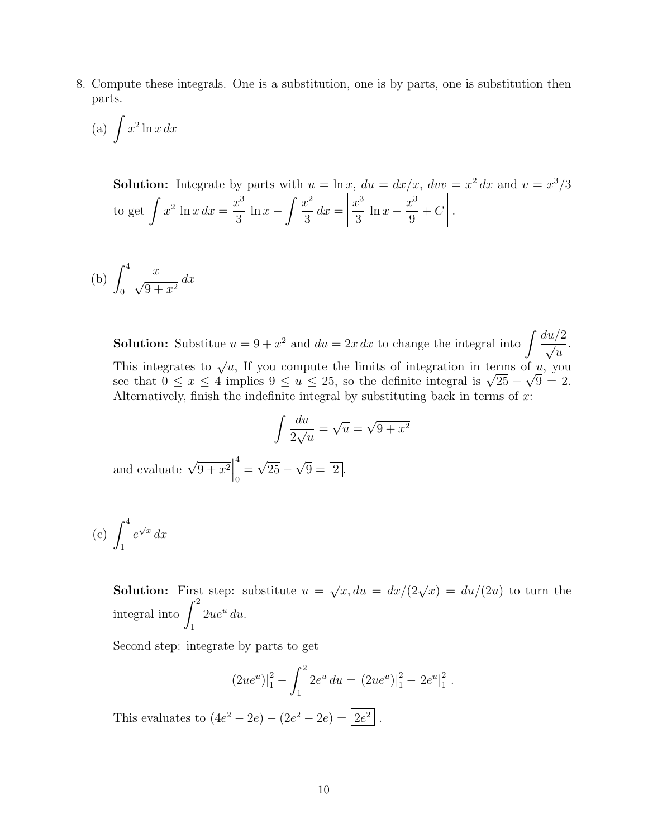8. Compute these integrals. One is a substitution, one is by parts, one is substitution then parts.

(a) 
$$
\int x^2 \ln x \, dx
$$

**Solution:** Integrate by parts with  $u = \ln x$ ,  $du = dx/x$ ,  $dvv = x^2 dx$  and  $v = x^3/3$ to get  $\int x^2 \ln x \, dx =$  $x^3$ 3  $\ln x - \int \frac{x^2}{2}$ 3  $dx =$  $x^3$ 3  $\ln x - \frac{x^3}{6}$ 9  $+ C$  .

$$
(b) \int_0^4 \frac{x}{\sqrt{9+x^2}} dx
$$

**Solution:** Substitue  $u = 9 + x^2$  and  $du = 2x dx$  to change the integral into  $\int \frac{du/2}{dx}$  $\overline{u}$ . This integrates to  $\sqrt{u}$ , If you compute the limits of integration in terms of u, you This integrates to  $\sqrt{u}$ , if you compute the limits of integration in terms of u, you see that  $0 \le x \le 4$  implies  $9 \le u \le 25$ , so the definite integral is  $\sqrt{25} - \sqrt{9} = 2$ . Alternatively, finish the indefinite integral by substituting back in terms of  $x$ :

$$
\int \frac{du}{2\sqrt{u}} = \sqrt{u} = \sqrt{9 + x^2}
$$

and evaluate  $\sqrt{9+x^2}$ 4  $\frac{1}{0}$ √  $25 -$ √  $9 = |2|$ .

$$
(c) \int_1^4 e^{\sqrt{x}} dx
$$

**Solution:** First step: substitute  $u =$  $\sqrt{x}, du = dx/(2\sqrt{x}) = du/(2u)$  to turn the integral into  $\int_0^2$ 1  $2ue^u du.$ 

Second step: integrate by parts to get

$$
(2ue^u)|_1^2 - \int_1^2 2e^u du = (2ue^u)|_1^2 - 2e^u|_1^2.
$$

This evaluates to  $(4e^2 - 2e) - (2e^2 - 2e) = |2e^2$ .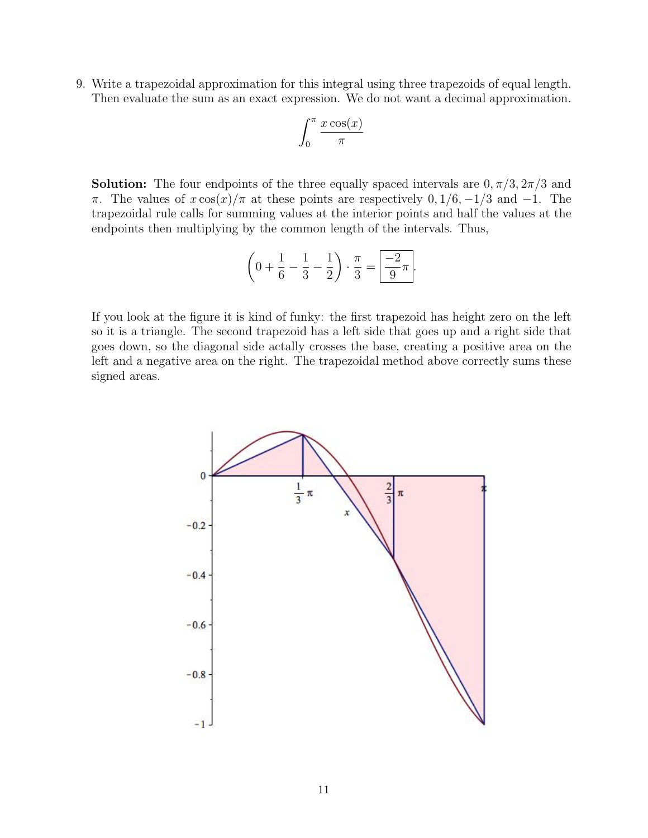9. Write a trapezoidal approximation for this integral using three trapezoids of equal length. Then evaluate the sum as an exact expression. We do not want a decimal approximation.

$$
\int_0^\pi \frac{x \cos(x)}{\pi}
$$

**Solution:** The four endpoints of the three equally spaced intervals are  $0, \pi/3, 2\pi/3$  and π. The values of  $x \cos(x)/\pi$  at these points are respectively 0, 1/6, -1/3 and -1. The trapezoidal rule calls for summing values at the interior points and half the values at the endpoints then multiplying by the common length of the intervals. Thus,

$$
\left(0 + \frac{1}{6} - \frac{1}{3} - \frac{1}{2}\right) \cdot \frac{\pi}{3} = \boxed{\frac{-2}{9}\pi}.
$$

If you look at the figure it is kind of funky: the first trapezoid has height zero on the left so it is a triangle. The second trapezoid has a left side that goes up and a right side that goes down, so the diagonal side actally crosses the base, creating a positive area on the left and a negative area on the right. The trapezoidal method above correctly sums these signed areas.

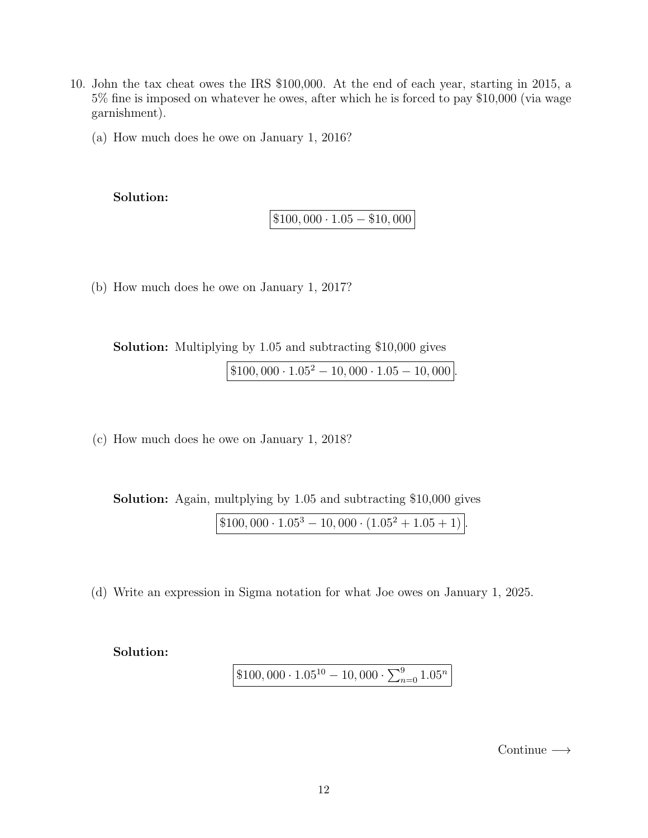- 10. John the tax cheat owes the IRS \$100,000. At the end of each year, starting in 2015, a 5% fine is imposed on whatever he owes, after which he is forced to pay \$10,000 (via wage garnishment).
	- (a) How much does he owe on January 1, 2016?

Solution:

 $\boxed{\$100,000\cdot1.05-\$10,000}$ 

(b) How much does he owe on January 1, 2017?

Solution: Multiplying by 1.05 and subtracting \$10,000 gives

 $\boxed{\$100,000\cdot1.05^2 - 10,000\cdot1.05 - 10,000}$ 

(c) How much does he owe on January 1, 2018?

Solution: Again, multplying by 1.05 and subtracting \$10,000 gives  $\boxed{\$100,000 \cdot 1.05^3 - 10,000 \cdot (1.05^2 + 1.05 + 1)}.$ 

(d) Write an expression in Sigma notation for what Joe owes on January 1, 2025.

Solution:

 $$100,000 \cdot 1.05^{10} - 10,000 \cdot \sum_{n=0}^{9} 1.05^n$ 

 $\text{Continue} \longrightarrow$